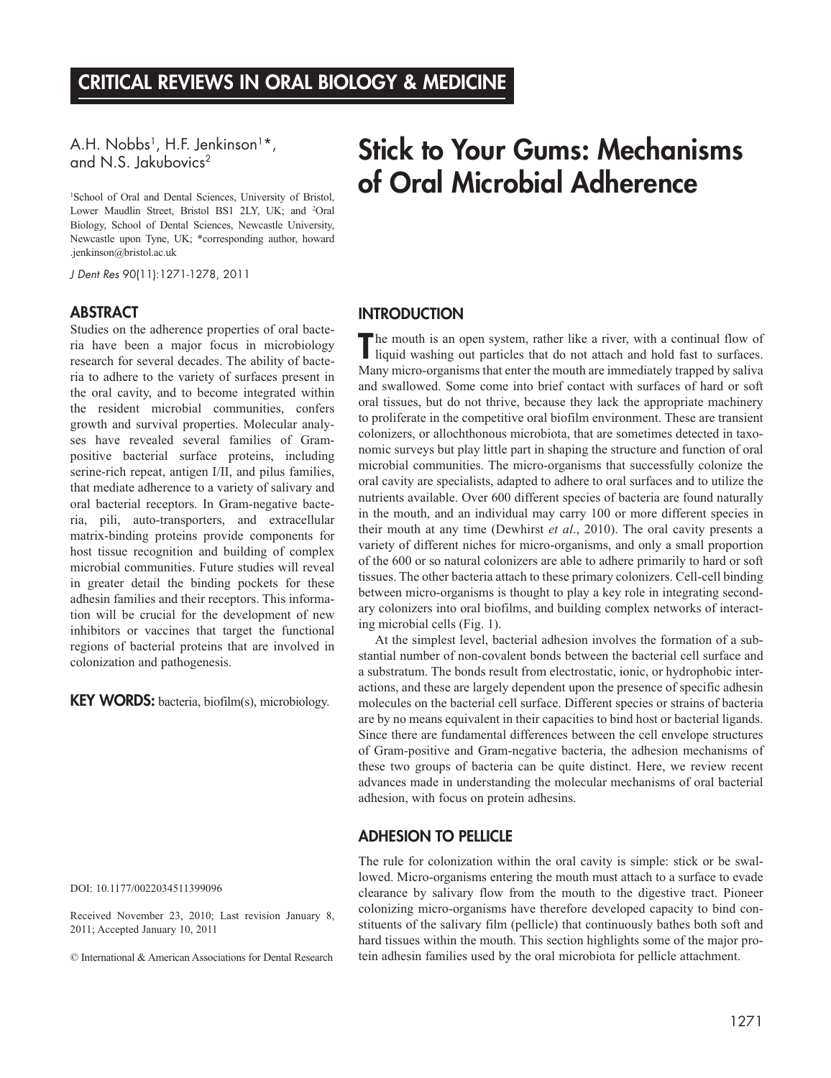A.H. Nobbs<sup>1</sup>, H.F. Jenkinson<sup>1</sup>\*, and N.S. Jakubovics<sup>2</sup>

1 School of Oral and Dental Sciences, University of Bristol, Lower Maudlin Street, Bristol BS1 2LY, UK; and <sup>2</sup>Oral Biology, School of Dental Sciences, Newcastle University, Newcastle upon Tyne, UK; \*corresponding author, howard .jenkinson@bristol.ac.uk

*J Dent Res* 90(11):1271-1278, 2011

## **ABSTRACT**

Studies on the adherence properties of oral bacteria have been a major focus in microbiology research for several decades. The ability of bacteria to adhere to the variety of surfaces present in the oral cavity, and to become integrated within the resident microbial communities, confers growth and survival properties. Molecular analyses have revealed several families of Grampositive bacterial surface proteins, including serine-rich repeat, antigen I/II, and pilus families, that mediate adherence to a variety of salivary and oral bacterial receptors. In Gram-negative bacteria, pili, auto-transporters, and extracellular matrix-binding proteins provide components for host tissue recognition and building of complex microbial communities. Future studies will reveal in greater detail the binding pockets for these adhesin families and their receptors. This information will be crucial for the development of new inhibitors or vaccines that target the functional regions of bacterial proteins that are involved in colonization and pathogenesis.

KEY WORDS: bacteria, biofilm(s), microbiology.

DOI: 10.1177/0022034511399096

Received November 23, 2010; Last revision January 8, 2011; Accepted January 10, 2011

© International & American Associations for Dental Research

# Stick to Your Gums: Mechanisms of Oral Microbial Adherence

# **INTRODUCTION**

The mouth is an open system, rather like a river, with a continual flow of liquid washing out particles that do not attach and hold fast to surfaces. Many micro-organisms that enter the mouth are immediately trapped by saliva and swallowed. Some come into brief contact with surfaces of hard or soft oral tissues, but do not thrive, because they lack the appropriate machinery to proliferate in the competitive oral biofilm environment. These are transient colonizers, or allochthonous microbiota, that are sometimes detected in taxonomic surveys but play little part in shaping the structure and function of oral microbial communities. The micro-organisms that successfully colonize the oral cavity are specialists, adapted to adhere to oral surfaces and to utilize the nutrients available. Over 600 different species of bacteria are found naturally in the mouth, and an individual may carry 100 or more different species in their mouth at any time (Dewhirst *et al*., 2010). The oral cavity presents a variety of different niches for micro-organisms, and only a small proportion of the 600 or so natural colonizers are able to adhere primarily to hard or soft tissues. The other bacteria attach to these primary colonizers. Cell-cell binding between micro-organisms is thought to play a key role in integrating secondary colonizers into oral biofilms, and building complex networks of interacting microbial cells (Fig. 1).

At the simplest level, bacterial adhesion involves the formation of a substantial number of non-covalent bonds between the bacterial cell surface and a substratum. The bonds result from electrostatic, ionic, or hydrophobic interactions, and these are largely dependent upon the presence of specific adhesin molecules on the bacterial cell surface. Different species or strains of bacteria are by no means equivalent in their capacities to bind host or bacterial ligands. Since there are fundamental differences between the cell envelope structures of Gram-positive and Gram-negative bacteria, the adhesion mechanisms of these two groups of bacteria can be quite distinct. Here, we review recent advances made in understanding the molecular mechanisms of oral bacterial adhesion, with focus on protein adhesins.

# Adhesion to Pellicle

The rule for colonization within the oral cavity is simple: stick or be swallowed. Micro-organisms entering the mouth must attach to a surface to evade clearance by salivary flow from the mouth to the digestive tract. Pioneer colonizing micro-organisms have therefore developed capacity to bind constituents of the salivary film (pellicle) that continuously bathes both soft and hard tissues within the mouth. This section highlights some of the major protein adhesin families used by the oral microbiota for pellicle attachment.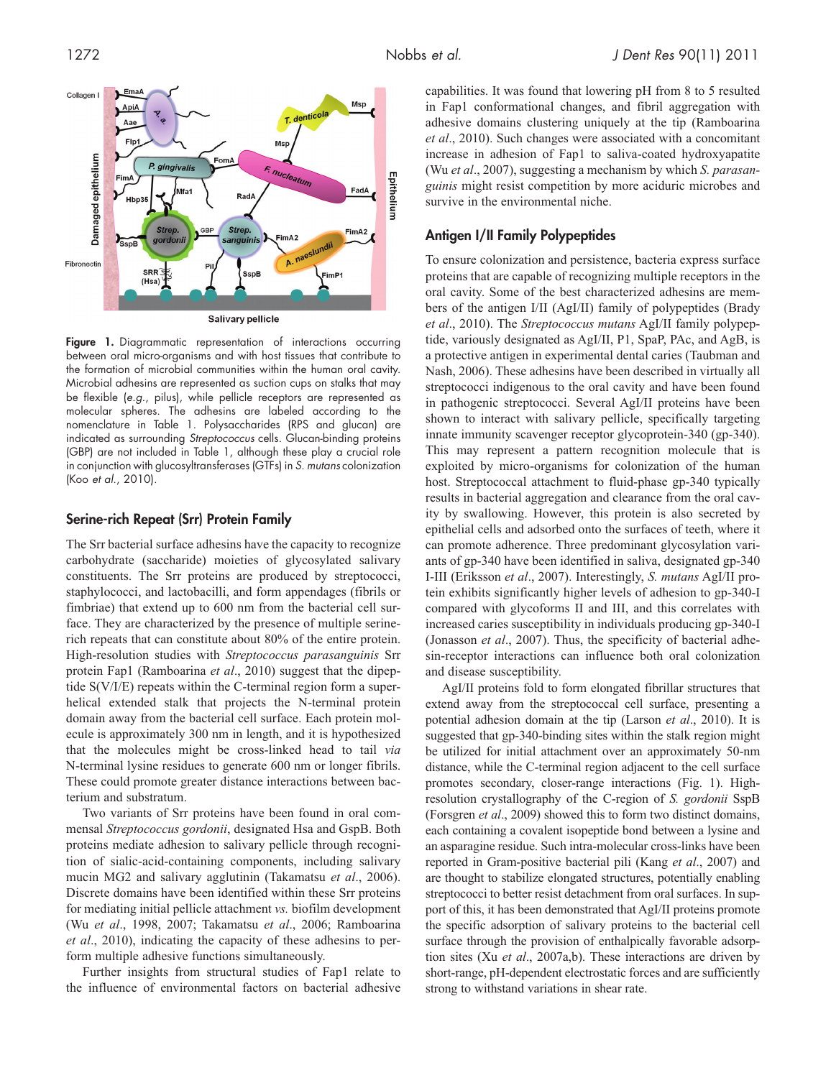

Figure 1. Diagrammatic representation of interactions occurring between oral micro-organisms and with host tissues that contribute to the formation of microbial communities within the human oral cavity. Microbial adhesins are represented as suction cups on stalks that may be flexible (*e.g*., pilus), while pellicle receptors are represented as molecular spheres. The adhesins are labeled according to the nomenclature in Table 1. Polysaccharides (RPS and glucan) are indicated as surrounding *Streptococcus* cells. Glucan-binding proteins (GBP) are not included in Table 1, although these play a crucial role in conjunction with glucosyltransferases (GTFs) in *S. mutans* colonization (Koo *et al*., 2010).

## Serine-rich Repeat (Srr) Protein Family

The Srr bacterial surface adhesins have the capacity to recognize carbohydrate (saccharide) moieties of glycosylated salivary constituents. The Srr proteins are produced by streptococci, staphylococci, and lactobacilli, and form appendages (fibrils or fimbriae) that extend up to 600 nm from the bacterial cell surface. They are characterized by the presence of multiple serinerich repeats that can constitute about 80% of the entire protein. High-resolution studies with *Streptococcus parasanguinis* Srr protein Fap1 (Ramboarina *et al*., 2010) suggest that the dipeptide S(V/I/E) repeats within the C-terminal region form a superhelical extended stalk that projects the N-terminal protein domain away from the bacterial cell surface. Each protein molecule is approximately 300 nm in length, and it is hypothesized that the molecules might be cross-linked head to tail *via* N-terminal lysine residues to generate 600 nm or longer fibrils. These could promote greater distance interactions between bacterium and substratum.

Two variants of Srr proteins have been found in oral commensal *Streptococcus gordonii*, designated Hsa and GspB. Both proteins mediate adhesion to salivary pellicle through recognition of sialic-acid-containing components, including salivary mucin MG2 and salivary agglutinin (Takamatsu *et al*., 2006). Discrete domains have been identified within these Srr proteins for mediating initial pellicle attachment *vs.* biofilm development (Wu *et al*., 1998, 2007; Takamatsu *et al*., 2006; Ramboarina *et al*., 2010), indicating the capacity of these adhesins to perform multiple adhesive functions simultaneously.

Further insights from structural studies of Fap1 relate to the influence of environmental factors on bacterial adhesive capabilities. It was found that lowering pH from 8 to 5 resulted in Fap1 conformational changes, and fibril aggregation with adhesive domains clustering uniquely at the tip (Ramboarina *et al*., 2010). Such changes were associated with a concomitant increase in adhesion of Fap1 to saliva-coated hydroxyapatite (Wu *et al*., 2007), suggesting a mechanism by which *S. parasanguinis* might resist competition by more aciduric microbes and survive in the environmental niche.

# Antigen I/II Family Polypeptides

To ensure colonization and persistence, bacteria express surface proteins that are capable of recognizing multiple receptors in the oral cavity. Some of the best characterized adhesins are members of the antigen I/II (AgI/II) family of polypeptides (Brady *et al*., 2010). The *Streptococcus mutans* AgI/II family polypeptide, variously designated as AgI/II, P1, SpaP, PAc, and AgB, is a protective antigen in experimental dental caries (Taubman and Nash, 2006). These adhesins have been described in virtually all streptococci indigenous to the oral cavity and have been found in pathogenic streptococci. Several AgI/II proteins have been shown to interact with salivary pellicle, specifically targeting innate immunity scavenger receptor glycoprotein-340 (gp-340). This may represent a pattern recognition molecule that is exploited by micro-organisms for colonization of the human host. Streptococcal attachment to fluid-phase gp-340 typically results in bacterial aggregation and clearance from the oral cavity by swallowing. However, this protein is also secreted by epithelial cells and adsorbed onto the surfaces of teeth, where it can promote adherence. Three predominant glycosylation variants of gp-340 have been identified in saliva, designated gp-340 I-III (Eriksson *et al*., 2007). Interestingly, *S. mutans* AgI/II protein exhibits significantly higher levels of adhesion to gp-340-I compared with glycoforms II and III, and this correlates with increased caries susceptibility in individuals producing gp-340-I (Jonasson *et al*., 2007). Thus, the specificity of bacterial adhesin-receptor interactions can influence both oral colonization and disease susceptibility.

AgI/II proteins fold to form elongated fibrillar structures that extend away from the streptococcal cell surface, presenting a potential adhesion domain at the tip (Larson *et al*., 2010). It is suggested that gp-340-binding sites within the stalk region might be utilized for initial attachment over an approximately 50-nm distance, while the C-terminal region adjacent to the cell surface promotes secondary, closer-range interactions (Fig. 1). Highresolution crystallography of the C-region of *S. gordonii* SspB (Forsgren *et al*., 2009) showed this to form two distinct domains, each containing a covalent isopeptide bond between a lysine and an asparagine residue. Such intra-molecular cross-links have been reported in Gram-positive bacterial pili (Kang *et al*., 2007) and are thought to stabilize elongated structures, potentially enabling streptococci to better resist detachment from oral surfaces. In support of this, it has been demonstrated that AgI/II proteins promote the specific adsorption of salivary proteins to the bacterial cell surface through the provision of enthalpically favorable adsorption sites (Xu *et al*., 2007a,b). These interactions are driven by short-range, pH-dependent electrostatic forces and are sufficiently strong to withstand variations in shear rate.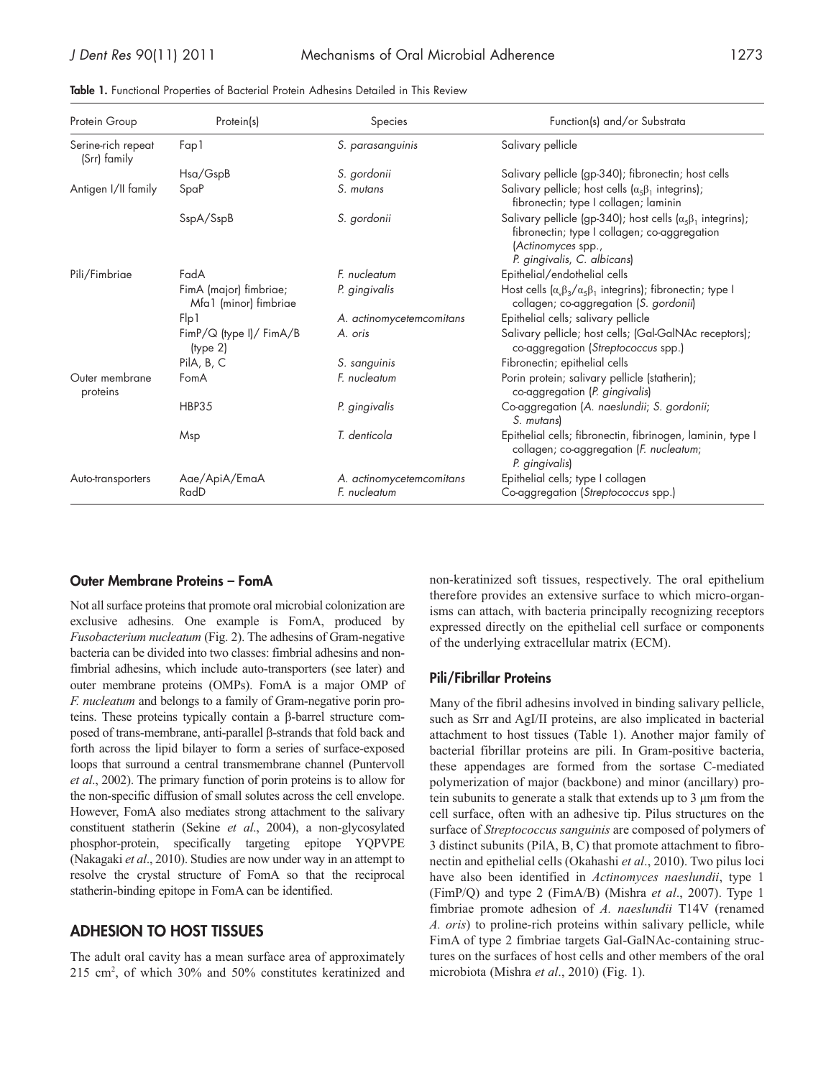| Protein Group                      | Protein(s)                                      | Species                  | Function(s) and/or Substrata                                                                                                                                                    |
|------------------------------------|-------------------------------------------------|--------------------------|---------------------------------------------------------------------------------------------------------------------------------------------------------------------------------|
| Serine-rich repeat<br>(Srr) family | Fap1                                            | S. parasanguinis         | Salivary pellicle                                                                                                                                                               |
|                                    | Hsa/GspB                                        | S. gordonii              | Salivary pellicle (gp-340); fibronectin; host cells                                                                                                                             |
| Antigen I/II family                | SpaP                                            | S. mutans                | Salivary pellicle; host cells $(\alpha_5\beta_1)$ integrins);<br>fibronectin; type I collagen; laminin                                                                          |
|                                    | SspA/SspB                                       | S. gordonii              | Salivary pellicle (gp-340); host cells $(\alpha_{5}\beta_{1})$ integrins);<br>fibronectin; type I collagen; co-aggregation<br>(Actinomyces spp.,<br>P. gingivalis, C. albicans) |
| Pili/Fimbriae                      | FadA                                            | F. nucleatum             | Epithelial/endothelial cells                                                                                                                                                    |
|                                    | FimA (major) fimbriae;<br>Mfa1 (minor) fimbriae | P. gingivalis            | Host cells $(\alpha_{\nu}\beta_{3}/\alpha_{5}\beta_{1})$ integrins); fibronectin; type I<br>collagen; co-aggregation (S. gordonii)                                              |
|                                    | Flp1                                            | A. actinomycetemcomitans | Epithelial cells; salivary pellicle                                                                                                                                             |
|                                    | FimP/Q (type I)/ FimA/B<br>(type 2)             | A. oris                  | Salivary pellicle; host cells; (Gal-GalNAc receptors);<br>co-aggregation (Streptococcus spp.)                                                                                   |
|                                    | PilA, B, C                                      | S. sanguinis             | Fibronectin; epithelial cells                                                                                                                                                   |
| Outer membrane<br>proteins         | FomA                                            | F. nucleatum             | Porin protein; salivary pellicle (statherin);<br>co-aggregation (P. gingivalis)                                                                                                 |
|                                    | <b>HBP35</b>                                    | P. gingivalis            | Co-aggregation (A. naeslundii; S. gordonii;<br>S. mutans)                                                                                                                       |
|                                    | Msp                                             | T. denticola             | Epithelial cells; fibronectin, fibrinogen, laminin, type I<br>collagen; co-aggregation (F. nucleatum;<br>P. gingivalis)                                                         |
| Auto-transporters                  | Aae/ApiA/EmaA                                   | A. actinomycetemcomitans | Epithelial cells; type I collagen                                                                                                                                               |
|                                    | RadD                                            | F. nucleatum             | Co-aggregation (Streptococcus spp.)                                                                                                                                             |

Table 1. Functional Properties of Bacterial Protein Adhesins Detailed in This Review

#### Outer Membrane Proteins – FomA

Not all surface proteins that promote oral microbial colonization are exclusive adhesins. One example is FomA, produced by *Fusobacterium nucleatum* (Fig. 2). The adhesins of Gram-negative bacteria can be divided into two classes: fimbrial adhesins and nonfimbrial adhesins, which include auto-transporters (see later) and outer membrane proteins (OMPs). FomA is a major OMP of *F. nucleatum* and belongs to a family of Gram-negative porin proteins. These proteins typically contain a β-barrel structure composed of trans-membrane, anti-parallel β-strands that fold back and forth across the lipid bilayer to form a series of surface-exposed loops that surround a central transmembrane channel (Puntervoll *et al*., 2002). The primary function of porin proteins is to allow for the non-specific diffusion of small solutes across the cell envelope. However, FomA also mediates strong attachment to the salivary constituent statherin (Sekine *et al*., 2004), a non-glycosylated phosphor-protein, specifically targeting epitope YQPVPE (Nakagaki *et al*., 2010). Studies are now under way in an attempt to resolve the crystal structure of FomA so that the reciprocal statherin-binding epitope in FomA can be identified.

# Adhesion to host Tissues

The adult oral cavity has a mean surface area of approximately 215 cm2 , of which 30% and 50% constitutes keratinized and non-keratinized soft tissues, respectively. The oral epithelium therefore provides an extensive surface to which micro-organisms can attach, with bacteria principally recognizing receptors expressed directly on the epithelial cell surface or components of the underlying extracellular matrix (ECM).

# Pili/Fibrillar Proteins

Many of the fibril adhesins involved in binding salivary pellicle, such as Srr and AgI/II proteins, are also implicated in bacterial attachment to host tissues (Table 1). Another major family of bacterial fibrillar proteins are pili. In Gram-positive bacteria, these appendages are formed from the sortase C-mediated polymerization of major (backbone) and minor (ancillary) protein subunits to generate a stalk that extends up to 3 µm from the cell surface, often with an adhesive tip. Pilus structures on the surface of *Streptococcus sanguinis* are composed of polymers of 3 distinct subunits (PilA, B, C) that promote attachment to fibronectin and epithelial cells (Okahashi *et al*., 2010). Two pilus loci have also been identified in *Actinomyces naeslundii*, type 1 (FimP/Q) and type 2 (FimA/B) (Mishra *et al*., 2007). Type 1 fimbriae promote adhesion of *A. naeslundii* T14V (renamed *A. oris*) to proline-rich proteins within salivary pellicle, while FimA of type 2 fimbriae targets Gal-GalNAc-containing structures on the surfaces of host cells and other members of the oral microbiota (Mishra *et al*., 2010) (Fig. 1).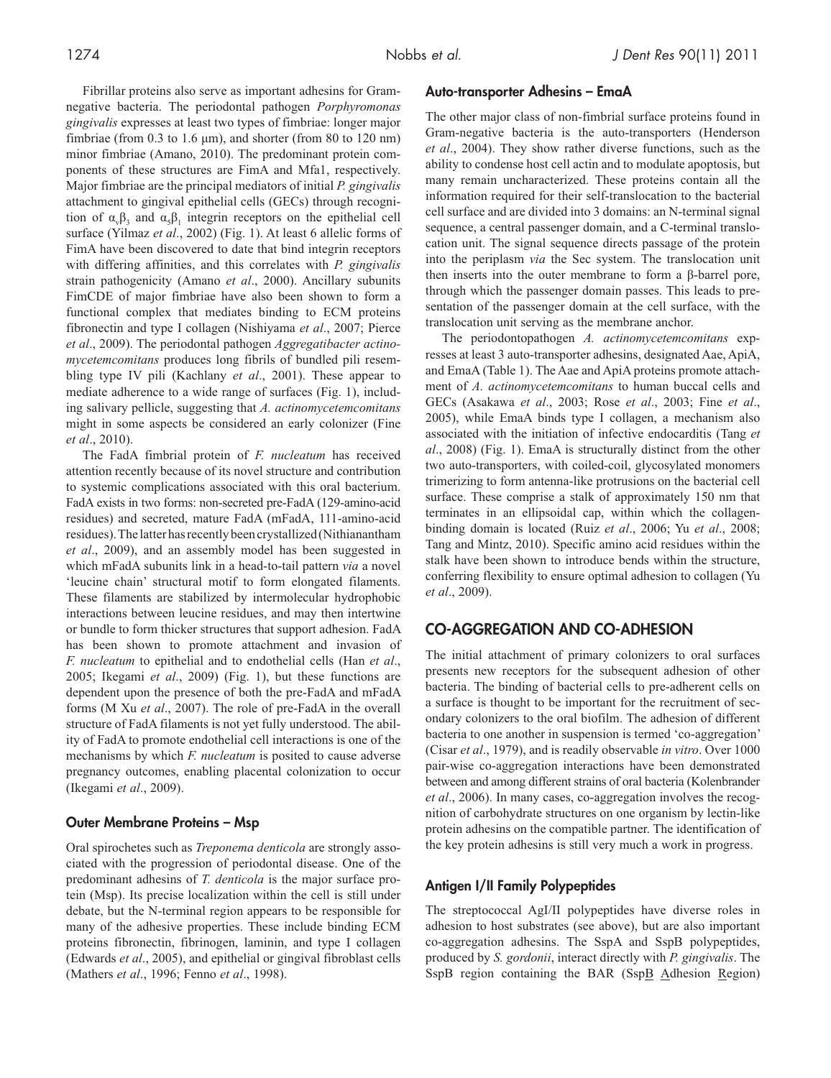Fibrillar proteins also serve as important adhesins for Gramnegative bacteria. The periodontal pathogen *Porphyromonas gingivalis* expresses at least two types of fimbriae: longer major fimbriae (from  $0.3$  to  $1.6 \mu m$ ), and shorter (from  $80$  to  $120 \text{ nm}$ ) minor fimbriae (Amano, 2010). The predominant protein components of these structures are FimA and Mfa1, respectively. Major fimbriae are the principal mediators of initial *P. gingivalis* attachment to gingival epithelial cells (GECs) through recognition of  $\alpha_{\nu}\beta_3$  and  $\alpha_5\beta_1$  integrin receptors on the epithelial cell surface (Yilmaz *et al*., 2002) (Fig. 1). At least 6 allelic forms of FimA have been discovered to date that bind integrin receptors with differing affinities, and this correlates with *P. gingivalis* strain pathogenicity (Amano *et al*., 2000). Ancillary subunits FimCDE of major fimbriae have also been shown to form a functional complex that mediates binding to ECM proteins fibronectin and type I collagen (Nishiyama *et al*., 2007; Pierce *et al*., 2009). The periodontal pathogen *Aggregatibacter actinomycetemcomitans* produces long fibrils of bundled pili resembling type IV pili (Kachlany *et al*., 2001). These appear to mediate adherence to a wide range of surfaces (Fig. 1), including salivary pellicle, suggesting that *A. actinomycetemcomitans* might in some aspects be considered an early colonizer (Fine *et al*., 2010).

The FadA fimbrial protein of *F. nucleatum* has received attention recently because of its novel structure and contribution to systemic complications associated with this oral bacterium. FadA exists in two forms: non-secreted pre-FadA (129-amino-acid residues) and secreted, mature FadA (mFadA, 111-amino-acid residues). The latter has recently been crystallized (Nithianantham *et al*., 2009), and an assembly model has been suggested in which mFadA subunits link in a head-to-tail pattern *via* a novel 'leucine chain' structural motif to form elongated filaments. These filaments are stabilized by intermolecular hydrophobic interactions between leucine residues, and may then intertwine or bundle to form thicker structures that support adhesion. FadA has been shown to promote attachment and invasion of *F. nucleatum* to epithelial and to endothelial cells (Han *et al*., 2005; Ikegami *et al*., 2009) (Fig. 1), but these functions are dependent upon the presence of both the pre-FadA and mFadA forms (M Xu *et al*., 2007). The role of pre-FadA in the overall structure of FadA filaments is not yet fully understood. The ability of FadA to promote endothelial cell interactions is one of the mechanisms by which *F. nucleatum* is posited to cause adverse pregnancy outcomes, enabling placental colonization to occur (Ikegami *et al*., 2009).

#### Outer Membrane Proteins – Msp

Oral spirochetes such as *Treponema denticola* are strongly associated with the progression of periodontal disease. One of the predominant adhesins of *T. denticola* is the major surface protein (Msp). Its precise localization within the cell is still under debate, but the N-terminal region appears to be responsible for many of the adhesive properties. These include binding ECM proteins fibronectin, fibrinogen, laminin, and type I collagen (Edwards *et al*., 2005), and epithelial or gingival fibroblast cells (Mathers *et al*., 1996; Fenno *et al*., 1998).

#### Auto-transporter Adhesins – EmaA

The other major class of non-fimbrial surface proteins found in Gram-negative bacteria is the auto-transporters (Henderson *et al*., 2004). They show rather diverse functions, such as the ability to condense host cell actin and to modulate apoptosis, but many remain uncharacterized. These proteins contain all the information required for their self-translocation to the bacterial cell surface and are divided into 3 domains: an N-terminal signal sequence, a central passenger domain, and a C-terminal translocation unit. The signal sequence directs passage of the protein into the periplasm *via* the Sec system. The translocation unit then inserts into the outer membrane to form a β-barrel pore, through which the passenger domain passes. This leads to presentation of the passenger domain at the cell surface, with the translocation unit serving as the membrane anchor.

The periodontopathogen *A. actinomycetemcomitans* expresses at least 3 auto-transporter adhesins, designated Aae, ApiA, and EmaA (Table 1). The Aae and ApiA proteins promote attachment of *A. actinomycetemcomitans* to human buccal cells and GECs (Asakawa *et al*., 2003; Rose *et al*., 2003; Fine *et al*., 2005), while EmaA binds type I collagen, a mechanism also associated with the initiation of infective endocarditis (Tang *et al*., 2008) (Fig. 1). EmaA is structurally distinct from the other two auto-transporters, with coiled-coil, glycosylated monomers trimerizing to form antenna-like protrusions on the bacterial cell surface. These comprise a stalk of approximately 150 nm that terminates in an ellipsoidal cap, within which the collagenbinding domain is located (Ruiz *et al*., 2006; Yu *et al*., 2008; Tang and Mintz, 2010). Specific amino acid residues within the stalk have been shown to introduce bends within the structure, conferring flexibility to ensure optimal adhesion to collagen (Yu *et al*., 2009).

# Co-Aggregation and Co-adhesion

The initial attachment of primary colonizers to oral surfaces presents new receptors for the subsequent adhesion of other bacteria. The binding of bacterial cells to pre-adherent cells on a surface is thought to be important for the recruitment of secondary colonizers to the oral biofilm. The adhesion of different bacteria to one another in suspension is termed 'co-aggregation' (Cisar *et al*., 1979), and is readily observable *in vitro*. Over 1000 pair-wise co-aggregation interactions have been demonstrated between and among different strains of oral bacteria (Kolenbrander *et al*., 2006). In many cases, co-aggregation involves the recognition of carbohydrate structures on one organism by lectin-like protein adhesins on the compatible partner. The identification of the key protein adhesins is still very much a work in progress.

# Antigen I/II Family Polypeptides

The streptococcal AgI/II polypeptides have diverse roles in adhesion to host substrates (see above), but are also important co-aggregation adhesins. The SspA and SspB polypeptides, produced by *S. gordonii*, interact directly with *P. gingivalis*. The SspB region containing the BAR (SspB Adhesion Region)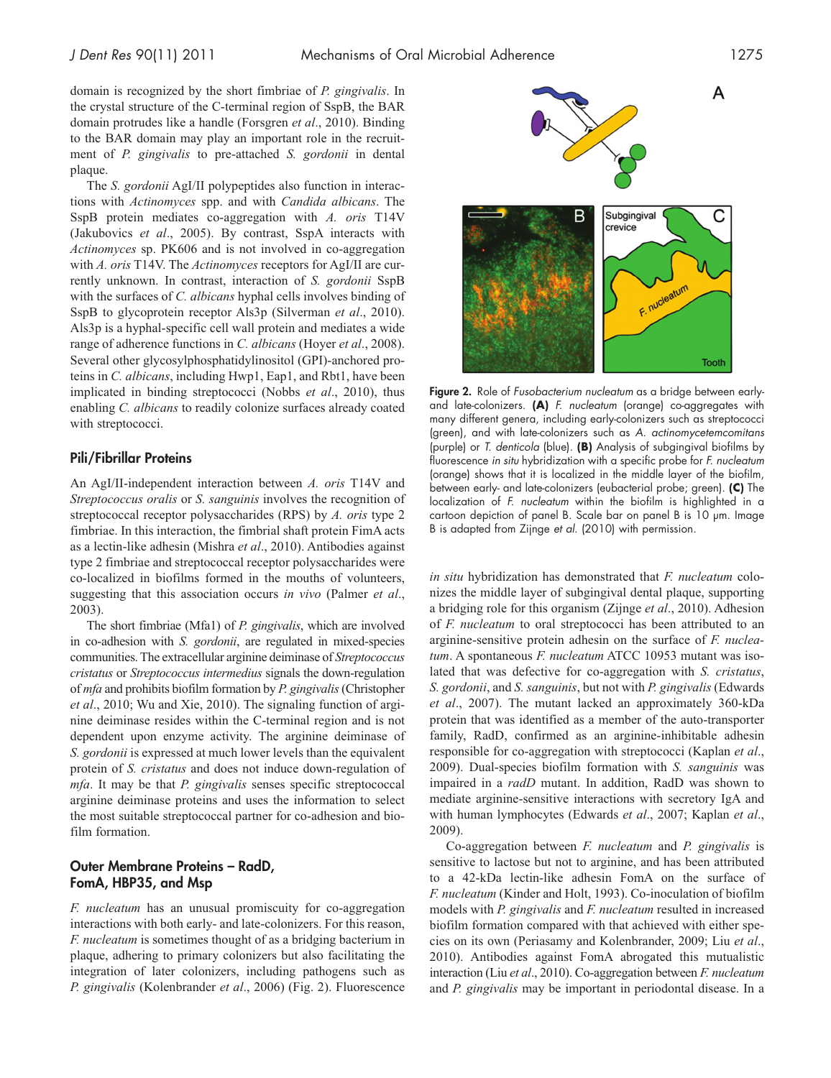domain is recognized by the short fimbriae of *P. gingivalis*. In the crystal structure of the C-terminal region of SspB, the BAR domain protrudes like a handle (Forsgren *et al*., 2010). Binding to the BAR domain may play an important role in the recruitment of *P. gingivalis* to pre-attached *S. gordonii* in dental plaque.

The *S. gordonii* AgI/II polypeptides also function in interactions with *Actinomyces* spp. and with *Candida albicans*. The SspB protein mediates co-aggregation with *A. oris* T14V (Jakubovics *et al*., 2005). By contrast, SspA interacts with *Actinomyces* sp. PK606 and is not involved in co-aggregation with *A. oris* T14V. The *Actinomyces* receptors for AgI/II are currently unknown. In contrast, interaction of *S. gordonii* SspB with the surfaces of *C. albicans* hyphal cells involves binding of SspB to glycoprotein receptor Als3p (Silverman *et al*., 2010). Als3p is a hyphal-specific cell wall protein and mediates a wide range of adherence functions in *C. albicans* (Hoyer *et al*., 2008). Several other glycosylphosphatidylinositol (GPI)-anchored proteins in *C. albicans*, including Hwp1, Eap1, and Rbt1, have been implicated in binding streptococci (Nobbs *et al*., 2010), thus enabling *C. albicans* to readily colonize surfaces already coated with streptococci.

#### Pili/Fibrillar Proteins

An AgI/II-independent interaction between *A. oris* T14V and *Streptococcus oralis* or *S. sanguinis* involves the recognition of streptococcal receptor polysaccharides (RPS) by *A. oris* type 2 fimbriae. In this interaction, the fimbrial shaft protein FimA acts as a lectin-like adhesin (Mishra *et al*., 2010). Antibodies against type 2 fimbriae and streptococcal receptor polysaccharides were co-localized in biofilms formed in the mouths of volunteers, suggesting that this association occurs *in vivo* (Palmer *et al*., 2003).

The short fimbriae (Mfa1) of *P. gingivalis*, which are involved in co-adhesion with *S. gordonii*, are regulated in mixed-species communities. The extracellular arginine deiminase of *Streptococcus cristatus* or *Streptococcus intermedius* signals the down-regulation of *mfa* and prohibits biofilm formation by *P. gingivalis* (Christopher *et al*., 2010; Wu and Xie, 2010). The signaling function of arginine deiminase resides within the C-terminal region and is not dependent upon enzyme activity. The arginine deiminase of *S. gordonii* is expressed at much lower levels than the equivalent protein of *S. cristatus* and does not induce down-regulation of *mfa*. It may be that *P. gingivalis* senses specific streptococcal arginine deiminase proteins and uses the information to select the most suitable streptococcal partner for co-adhesion and biofilm formation.

# Outer Membrane Proteins – RadD, FomA, HBP35, and Msp

*F. nucleatum* has an unusual promiscuity for co-aggregation interactions with both early- and late-colonizers. For this reason, *F. nucleatum* is sometimes thought of as a bridging bacterium in plaque, adhering to primary colonizers but also facilitating the integration of later colonizers, including pathogens such as *P. gingivalis* (Kolenbrander *et al*., 2006) (Fig. 2). Fluorescence



Figure 2. Role of *Fusobacterium nucleatum* as a bridge between earlyand late-colonizers. **(A)** *F. nucleatum* (orange) co-aggregates with many different genera, including early-colonizers such as streptococci (green), and with late-colonizers such as *A. actinomycetemcomitans* (purple) or *T. denticola* (blue). **(B)** Analysis of subgingival biofilms by fluorescence *in situ* hybridization with a specific probe for *F. nucleatum* (orange) shows that it is localized in the middle layer of the biofilm, between early- and late-colonizers (eubacterial probe; green). **(C)** The localization of *F. nucleatum* within the biofilm is highlighted in a cartoon depiction of panel B. Scale bar on panel B is 10 µm. Image B is adapted from Zijnge *et al*. (2010) with permission.

*in situ* hybridization has demonstrated that *F. nucleatum* colonizes the middle layer of subgingival dental plaque, supporting a bridging role for this organism (Zijnge *et al*., 2010). Adhesion of *F. nucleatum* to oral streptococci has been attributed to an arginine-sensitive protein adhesin on the surface of *F. nucleatum*. A spontaneous *F. nucleatum* ATCC 10953 mutant was isolated that was defective for co-aggregation with *S. cristatus*, *S. gordonii*, and *S. sanguinis*, but not with *P. gingivalis* (Edwards *et al*., 2007). The mutant lacked an approximately 360-kDa protein that was identified as a member of the auto-transporter family, RadD, confirmed as an arginine-inhibitable adhesin responsible for co-aggregation with streptococci (Kaplan *et al*., 2009). Dual-species biofilm formation with *S. sanguinis* was impaired in a *radD* mutant. In addition, RadD was shown to mediate arginine-sensitive interactions with secretory IgA and with human lymphocytes (Edwards *et al*., 2007; Kaplan *et al*., 2009).

Co-aggregation between *F. nucleatum* and *P. gingivalis* is sensitive to lactose but not to arginine, and has been attributed to a 42-kDa lectin-like adhesin FomA on the surface of *F. nucleatum* (Kinder and Holt, 1993). Co-inoculation of biofilm models with *P. gingivalis* and *F. nucleatum* resulted in increased biofilm formation compared with that achieved with either species on its own (Periasamy and Kolenbrander, 2009; Liu *et al*., 2010). Antibodies against FomA abrogated this mutualistic interaction (Liu *et al*., 2010). Co-aggregation between *F. nucleatum* and *P. gingivalis* may be important in periodontal disease. In a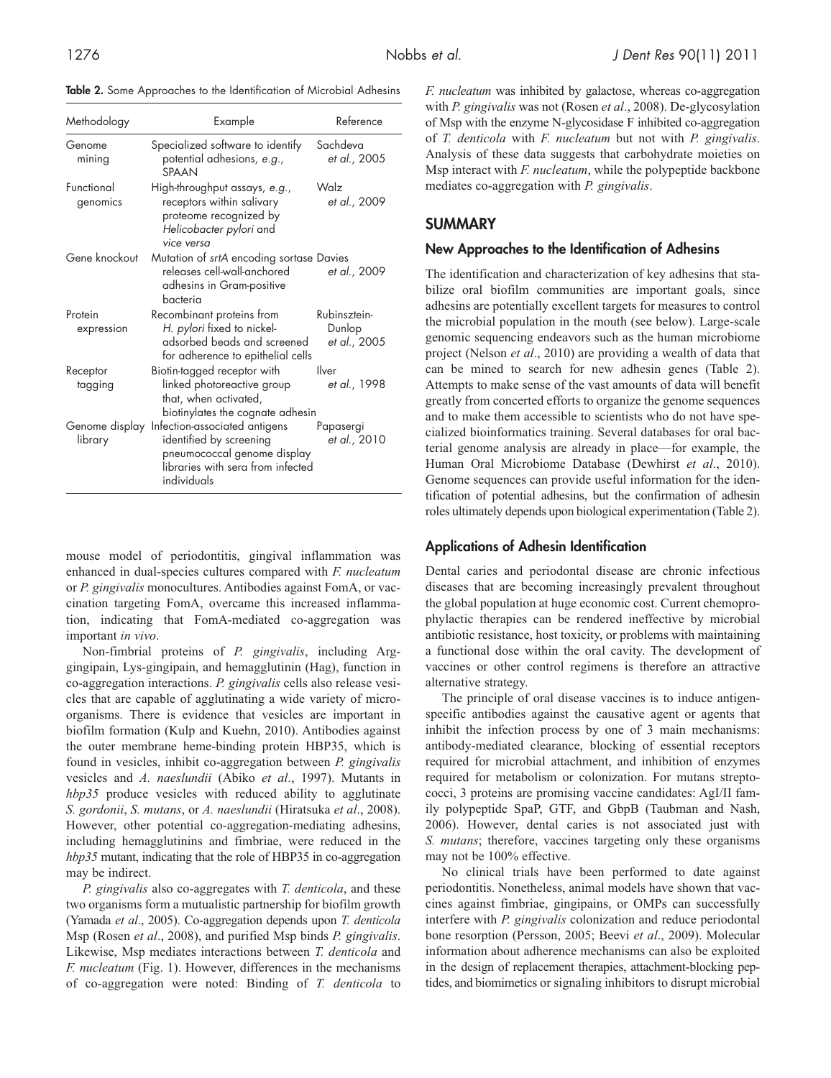Table 2. Some Approaches to the Identification of Microbial Adhesins

| Methodology               | Example                                                                                                                                     | Reference                              |
|---------------------------|---------------------------------------------------------------------------------------------------------------------------------------------|----------------------------------------|
| Genome<br>mining          | Specialized software to identify<br>potential adhesions, e.g.,<br><b>SPAAN</b>                                                              | Sachdeva<br>et al., 2005               |
| Functional<br>genomics    | High-throughput assays, e.g.,<br>receptors within salivary<br>proteome recognized by<br>Helicobacter pylori and<br>vice versa               | Walz<br>et al., 2009                   |
| Gene knockout             | Mutation of srtA encoding sortase Davies<br>releases cell-wall-anchored<br>adhesins in Gram-positive<br>hacteria                            | et al., 2009                           |
| Protein<br>expression     | Recombinant proteins from<br>H. pylori fixed to nickel-<br>adsorbed beads and screened<br>for adherence to epithelial cells                 | Rubinsztein-<br>Dunlop<br>et al., 2005 |
| Receptor<br>tagging       | Biotin-tagged receptor with<br>linked photoreactive group<br>that, when activated,<br>biotinylates the cognate adhesin                      | Ilver<br>et al., 1998                  |
| Genome display<br>library | Infection-associated antigens<br>identified by screening<br>pneumococcal genome display<br>libraries with sera from infected<br>individuals | Papasergi<br>et al., 2010              |

mouse model of periodontitis, gingival inflammation was enhanced in dual-species cultures compared with *F. nucleatum* or *P. gingivalis* monocultures. Antibodies against FomA, or vaccination targeting FomA, overcame this increased inflammation, indicating that FomA-mediated co-aggregation was important *in vivo*.

Non-fimbrial proteins of *P. gingivalis*, including Arggingipain, Lys-gingipain, and hemagglutinin (Hag), function in co-aggregation interactions. *P. gingivalis* cells also release vesicles that are capable of agglutinating a wide variety of microorganisms. There is evidence that vesicles are important in biofilm formation (Kulp and Kuehn, 2010). Antibodies against the outer membrane heme-binding protein HBP35, which is found in vesicles, inhibit co-aggregation between *P. gingivalis* vesicles and *A. naeslundii* (Abiko *et al*., 1997). Mutants in *hbp35* produce vesicles with reduced ability to agglutinate *S. gordonii*, *S. mutans*, or *A. naeslundii* (Hiratsuka *et al*., 2008). However, other potential co-aggregation-mediating adhesins, including hemagglutinins and fimbriae, were reduced in the *hbp35* mutant, indicating that the role of HBP35 in co-aggregation may be indirect.

*P. gingivalis* also co-aggregates with *T. denticola*, and these two organisms form a mutualistic partnership for biofilm growth (Yamada *et al*., 2005). Co-aggregation depends upon *T. denticola* Msp (Rosen *et al*., 2008), and purified Msp binds *P. gingivalis*. Likewise, Msp mediates interactions between *T. denticola* and *F. nucleatum* (Fig. 1). However, differences in the mechanisms of co-aggregation were noted: Binding of *T. denticola* to *F. nucleatum* was inhibited by galactose, whereas co-aggregation with *P. gingivalis* was not (Rosen *et al*., 2008). De-glycosylation of Msp with the enzyme N-glycosidase F inhibited co-aggregation of *T. denticola* with *F. nucleatum* but not with *P. gingivalis*. Analysis of these data suggests that carbohydrate moieties on Msp interact with *F. nucleatum*, while the polypeptide backbone mediates co-aggregation with *P. gingivalis*.

# **SUMMARY**

# New Approaches to the Identification of Adhesins

The identification and characterization of key adhesins that stabilize oral biofilm communities are important goals, since adhesins are potentially excellent targets for measures to control the microbial population in the mouth (see below). Large-scale genomic sequencing endeavors such as the human microbiome project (Nelson *et al*., 2010) are providing a wealth of data that can be mined to search for new adhesin genes (Table 2). Attempts to make sense of the vast amounts of data will benefit greatly from concerted efforts to organize the genome sequences and to make them accessible to scientists who do not have specialized bioinformatics training. Several databases for oral bacterial genome analysis are already in place—for example, the Human Oral Microbiome Database (Dewhirst *et al*., 2010). Genome sequences can provide useful information for the identification of potential adhesins, but the confirmation of adhesin roles ultimately depends upon biological experimentation (Table 2).

## Applications of Adhesin Identification

Dental caries and periodontal disease are chronic infectious diseases that are becoming increasingly prevalent throughout the global population at huge economic cost. Current chemoprophylactic therapies can be rendered ineffective by microbial antibiotic resistance, host toxicity, or problems with maintaining a functional dose within the oral cavity. The development of vaccines or other control regimens is therefore an attractive alternative strategy.

The principle of oral disease vaccines is to induce antigenspecific antibodies against the causative agent or agents that inhibit the infection process by one of 3 main mechanisms: antibody-mediated clearance, blocking of essential receptors required for microbial attachment, and inhibition of enzymes required for metabolism or colonization. For mutans streptococci, 3 proteins are promising vaccine candidates: AgI/II family polypeptide SpaP, GTF, and GbpB (Taubman and Nash, 2006). However, dental caries is not associated just with *S. mutans*; therefore, vaccines targeting only these organisms may not be 100% effective.

No clinical trials have been performed to date against periodontitis. Nonetheless, animal models have shown that vaccines against fimbriae, gingipains, or OMPs can successfully interfere with *P. gingivalis* colonization and reduce periodontal bone resorption (Persson, 2005; Beevi *et al*., 2009). Molecular information about adherence mechanisms can also be exploited in the design of replacement therapies, attachment-blocking peptides, and biomimetics or signaling inhibitors to disrupt microbial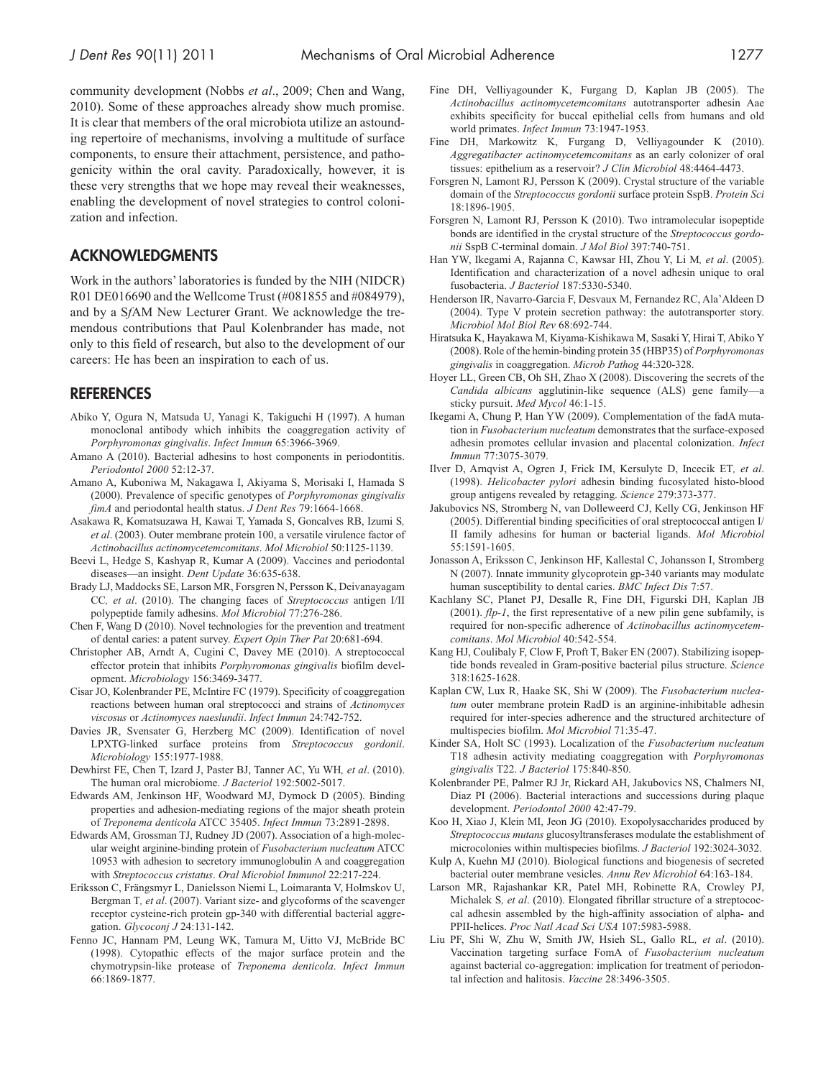community development (Nobbs *et al*., 2009; Chen and Wang, 2010). Some of these approaches already show much promise. It is clear that members of the oral microbiota utilize an astounding repertoire of mechanisms, involving a multitude of surface components, to ensure their attachment, persistence, and pathogenicity within the oral cavity. Paradoxically, however, it is these very strengths that we hope may reveal their weaknesses, enabling the development of novel strategies to control colonization and infection.

# **ACKNOWLEDGMENTS**

Work in the authors' laboratories is funded by the NIH (NIDCR) R01 DE016690 and the Wellcome Trust (#081855 and #084979), and by a S*f*AM New Lecturer Grant. We acknowledge the tremendous contributions that Paul Kolenbrander has made, not only to this field of research, but also to the development of our careers: He has been an inspiration to each of us.

## **REFERENCES**

- Abiko Y, Ogura N, Matsuda U, Yanagi K, Takiguchi H (1997). A human monoclonal antibody which inhibits the coaggregation activity of *Porphyromonas gingivalis*. *Infect Immun* 65:3966-3969.
- Amano A (2010). Bacterial adhesins to host components in periodontitis. *Periodontol 2000* 52:12-37.
- Amano A, Kuboniwa M, Nakagawa I, Akiyama S, Morisaki I, Hamada S (2000). Prevalence of specific genotypes of *Porphyromonas gingivalis fimA* and periodontal health status. *J Dent Res* 79:1664-1668.
- Asakawa R, Komatsuzawa H, Kawai T, Yamada S, Goncalves RB, Izumi S*, et al*. (2003). Outer membrane protein 100, a versatile virulence factor of *Actinobacillus actinomycetemcomitans*. *Mol Microbiol* 50:1125-1139.
- Beevi L, Hedge S, Kashyap R, Kumar A (2009). Vaccines and periodontal diseases—an insight. *Dent Update* 36:635-638.
- Brady LJ, Maddocks SE, Larson MR, Forsgren N, Persson K, Deivanayagam CC*, et al*. (2010). The changing faces of *Streptococcus* antigen I/II polypeptide family adhesins. *Mol Microbiol* 77:276-286.
- Chen F, Wang D (2010). Novel technologies for the prevention and treatment of dental caries: a patent survey. *Expert Opin Ther Pat* 20:681-694.
- Christopher AB, Arndt A, Cugini C, Davey ME (2010). A streptococcal effector protein that inhibits *Porphyromonas gingivalis* biofilm development. *Microbiology* 156:3469-3477.
- Cisar JO, Kolenbrander PE, McIntire FC (1979). Specificity of coaggregation reactions between human oral streptococci and strains of *Actinomyces viscosus* or *Actinomyces naeslundii*. *Infect Immun* 24:742-752.
- Davies JR, Svensater G, Herzberg MC (2009). Identification of novel LPXTG-linked surface proteins from *Streptococcus gordonii*. *Microbiology* 155:1977-1988.
- Dewhirst FE, Chen T, Izard J, Paster BJ, Tanner AC, Yu WH*, et al*. (2010). The human oral microbiome. *J Bacteriol* 192:5002-5017.
- Edwards AM, Jenkinson HF, Woodward MJ, Dymock D (2005). Binding properties and adhesion-mediating regions of the major sheath protein of *Treponema denticola* ATCC 35405. *Infect Immun* 73:2891-2898.
- Edwards AM, Grossman TJ, Rudney JD (2007). Association of a high-molecular weight arginine-binding protein of *Fusobacterium nucleatum* ATCC 10953 with adhesion to secretory immunoglobulin A and coaggregation with *Streptococcus cristatus*. *Oral Microbiol Immunol* 22:217-224.
- Eriksson C, Frängsmyr L, Danielsson Niemi L, Loimaranta V, Holmskov U, Bergman T*, et al*. (2007). Variant size- and glycoforms of the scavenger receptor cysteine-rich protein gp-340 with differential bacterial aggregation. *Glycoconj J* 24:131-142.
- Fenno JC, Hannam PM, Leung WK, Tamura M, Uitto VJ, McBride BC (1998). Cytopathic effects of the major surface protein and the chymotrypsin-like protease of *Treponema denticola*. *Infect Immun* 66:1869-1877.
- Fine DH, Velliyagounder K, Furgang D, Kaplan JB (2005). The *Actinobacillus actinomycetemcomitans* autotransporter adhesin Aae exhibits specificity for buccal epithelial cells from humans and old world primates. *Infect Immun* 73:1947-1953.
- Fine DH, Markowitz K, Furgang D, Velliyagounder K (2010). *Aggregatibacter actinomycetemcomitans* as an early colonizer of oral tissues: epithelium as a reservoir? *J Clin Microbiol* 48:4464-4473.
- Forsgren N, Lamont RJ, Persson K (2009). Crystal structure of the variable domain of the *Streptococcus gordonii* surface protein SspB. *Protein Sci* 18:1896-1905.
- Forsgren N, Lamont RJ, Persson K (2010). Two intramolecular isopeptide bonds are identified in the crystal structure of the *Streptococcus gordonii* SspB C-terminal domain. *J Mol Biol* 397:740-751.
- Han YW, Ikegami A, Rajanna C, Kawsar HI, Zhou Y, Li M*, et al*. (2005). Identification and characterization of a novel adhesin unique to oral fusobacteria. *J Bacteriol* 187:5330-5340.
- Henderson IR, Navarro-Garcia F, Desvaux M, Fernandez RC, Ala'Aldeen D (2004). Type V protein secretion pathway: the autotransporter story. *Microbiol Mol Biol Rev* 68:692-744.
- Hiratsuka K, Hayakawa M, Kiyama-Kishikawa M, Sasaki Y, Hirai T, Abiko Y (2008). Role of the hemin-binding protein 35 (HBP35) of *Porphyromonas gingivalis* in coaggregation. *Microb Pathog* 44:320-328.
- Hoyer LL, Green CB, Oh SH, Zhao X (2008). Discovering the secrets of the *Candida albicans* agglutinin-like sequence (ALS) gene family—a sticky pursuit. *Med Mycol* 46:1-15.
- Ikegami A, Chung P, Han YW (2009). Complementation of the fadA mutation in *Fusobacterium nucleatum* demonstrates that the surface-exposed adhesin promotes cellular invasion and placental colonization. *Infect Immun* 77:3075-3079.
- Ilver D, Arnqvist A, Ogren J, Frick IM, Kersulyte D, Incecik ET*, et al*. (1998). *Helicobacter pylori* adhesin binding fucosylated histo-blood group antigens revealed by retagging. *Science* 279:373-377.
- Jakubovics NS, Stromberg N, van Dolleweerd CJ, Kelly CG, Jenkinson HF (2005). Differential binding specificities of oral streptococcal antigen I/ II family adhesins for human or bacterial ligands. *Mol Microbiol* 55:1591-1605.
- Jonasson A, Eriksson C, Jenkinson HF, Kallestal C, Johansson I, Stromberg N (2007). Innate immunity glycoprotein gp-340 variants may modulate human susceptibility to dental caries. *BMC Infect Dis* 7:57.
- Kachlany SC, Planet PJ, Desalle R, Fine DH, Figurski DH, Kaplan JB (2001). *flp-1*, the first representative of a new pilin gene subfamily, is required for non-specific adherence of *Actinobacillus actinomycetemcomitans*. *Mol Microbiol* 40:542-554.
- Kang HJ, Coulibaly F, Clow F, Proft T, Baker EN (2007). Stabilizing isopeptide bonds revealed in Gram-positive bacterial pilus structure. *Science* 318:1625-1628.
- Kaplan CW, Lux R, Haake SK, Shi W (2009). The *Fusobacterium nucleatum* outer membrane protein RadD is an arginine-inhibitable adhesin required for inter-species adherence and the structured architecture of multispecies biofilm. *Mol Microbiol* 71:35-47.
- Kinder SA, Holt SC (1993). Localization of the *Fusobacterium nucleatum* T18 adhesin activity mediating coaggregation with *Porphyromonas gingivalis* T22. *J Bacteriol* 175:840-850.
- Kolenbrander PE, Palmer RJ Jr, Rickard AH, Jakubovics NS, Chalmers NI, Diaz PI (2006). Bacterial interactions and successions during plaque development. *Periodontol 2000* 42:47-79.
- Koo H, Xiao J, Klein MI, Jeon JG (2010). Exopolysaccharides produced by *Streptococcus mutans* glucosyltransferases modulate the establishment of microcolonies within multispecies biofilms. *J Bacteriol* 192:3024-3032.
- Kulp A, Kuehn MJ (2010). Biological functions and biogenesis of secreted bacterial outer membrane vesicles. *Annu Rev Microbiol* 64:163-184.
- Larson MR, Rajashankar KR, Patel MH, Robinette RA, Crowley PJ, Michalek S*, et al*. (2010). Elongated fibrillar structure of a streptococcal adhesin assembled by the high-affinity association of alpha- and PPII-helices. *Proc Natl Acad Sci USA* 107:5983-5988.
- Liu PF, Shi W, Zhu W, Smith JW, Hsieh SL, Gallo RL*, et al*. (2010). Vaccination targeting surface FomA of *Fusobacterium nucleatum* against bacterial co-aggregation: implication for treatment of periodontal infection and halitosis. *Vaccine* 28:3496-3505.